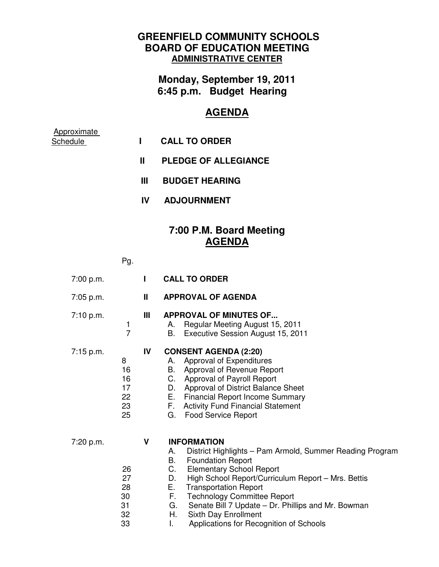## **GREENFIELD COMMUNITY SCHOOLS BOARD OF EDUCATION MEETING ADMINISTRATIVE CENTER**

**Monday, September 19, 2011 6:45 p.m. Budget Hearing** 

## **AGENDA**

| Approximate<br>Schedule |     | <b>CALL TO ORDER</b>        |
|-------------------------|-----|-----------------------------|
|                         | Ш   | <b>PLEDGE OF ALLEGIANCE</b> |
|                         | Ш   | <b>BUDGET HEARING</b>       |
|                         | IV. | <b>ADJOURNMENT</b>          |
|                         |     | 7:00 P.M. Board Meeting     |

## **AGENDA**

Pg.

| 7:00 p.m.   |                                        | L  | <b>CALL TO ORDER</b>                                                                                                                                                                                                                                                                                                                                                                                                                                     |
|-------------|----------------------------------------|----|----------------------------------------------------------------------------------------------------------------------------------------------------------------------------------------------------------------------------------------------------------------------------------------------------------------------------------------------------------------------------------------------------------------------------------------------------------|
| $7:05$ p.m. |                                        | Ш  | <b>APPROVAL OF AGENDA</b>                                                                                                                                                                                                                                                                                                                                                                                                                                |
| 7:10 p.m.   | 1<br>$\overline{7}$                    | Ш  | <b>APPROVAL OF MINUTES OF</b><br>Regular Meeting August 15, 2011<br>А.<br>В.<br>Executive Session August 15, 2011                                                                                                                                                                                                                                                                                                                                        |
| 7:15 p.m.   | 8<br>16<br>16<br>17<br>22<br>23<br>25  | IV | <b>CONSENT AGENDA (2:20)</b><br>Approval of Expenditures<br>А.<br>В.<br>Approval of Revenue Report<br>C.<br><b>Approval of Payroll Report</b><br><b>Approval of District Balance Sheet</b><br>D.<br>Е.<br><b>Financial Report Income Summary</b><br>F.<br><b>Activity Fund Financial Statement</b><br>G.<br><b>Food Service Report</b>                                                                                                                   |
| 7:20 p.m.   | 26<br>27<br>28<br>30<br>31<br>32<br>33 | V  | <b>INFORMATION</b><br>District Highlights - Pam Armold, Summer Reading Program<br>А.<br>В.<br><b>Foundation Report</b><br>C.<br><b>Elementary School Report</b><br>D.<br>High School Report/Curriculum Report - Mrs. Bettis<br>Е.<br><b>Transportation Report</b><br>F.<br><b>Technology Committee Report</b><br>G.<br>Senate Bill 7 Update - Dr. Phillips and Mr. Bowman<br>Η.<br>Sixth Day Enrollment<br>Applications for Recognition of Schools<br>I. |